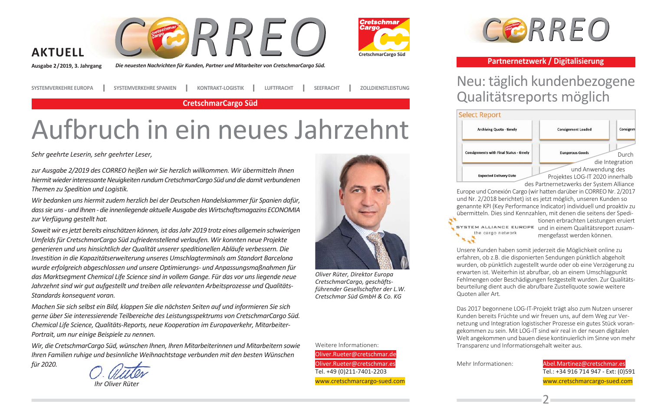





Die neuesten Nachrichten für Kunden, Partner und Mitarbeiter von CretschmarCargo Süd.

**SYSTEMVERKEHRE EUROPA** 

für 2020.

**SYSTEMVERKEHRE SPANIEN KONTRAKT-LOGISTIK**  **SEEFRACHT ZOLLDIENSTLEISTUNG** 

**CretschmarCargo Süd** 

**LUFTFRACHT** 

# Aufbruch in ein neues Jahrzehnt

Sehr geehrte Leserin, sehr geehrter Leser,

zur Ausgabe 2/2019 des CORREO heißen wir Sie herzlich willkommen. Wir übermitteln Ihnen hiermit wieder interessante Neuigkeiten rundum CretschmarCargo Süd und die damit verbundenen Themen zu Spedition und Logistik.

Wir bedanken uns hiermit zudem herzlich bei der Deutschen Handelskammer für Spanien dafür, dass sie uns - und Ihnen - die innenliegende aktuelle Ausgabe des Wirtschaftsmagazins ECONOMIA zur Verfügung gestellt hat.

Soweit wir es jetzt bereits einschätzen können, ist das Jahr 2019 trotz eines allgemein schwierigen Umfelds für CretschmarCargo Süd zufriedenstellend verlaufen. Wir konnten neue Projekte generieren und uns hinsichtlich der Qualität unserer speditionellen Abläufe verbessern. Die Investition in die Kapazitätserweiterung unseres Umschlagtermingls am Standort Barcelong wurde erfolgreich abgeschlossen und unsere Optimierungs- und Anpassungsmaßnahmen für das Marktsegment Chemical Life Science sind in vollem Gange. Für das vor uns liegende neue Jahrzehnt sind wir gut aufgestellt und treiben alle relevanten Arbeitsprozesse und Qualitäts-Standards konseauent voran.

Machen Sie sich selbst ein Bild, klappen Sie die nächsten Seiten auf und informieren Sie sich gerne über Sie interessierende Teilbereiche des Leistungsspektrums von CretschmarCargo Süd. Chemical Life Science, Qualitäts-Reports, neue Kooperation im Europaverkehr, Mitarbeiter-Portrait, um nur einige Beispiele zu nennen.

Wir, die CretschmarCargo Süd, wünschen Ihnen, Ihren Mitarbeiterinnen und Mitarbeitern sowie Ihren Familien ruhige und besinnliche Weihnachtstage verbunden mit den besten Wünschen

Ihr Oliver Rüter

Weitere Informationen: Oliver.Rueter@cretschmar.de Oliver.Rueter@cretschmar.es Tel. +49 (0)211-7401-2203 www.cretschmarcargo-sued.com

Oliver Rüter, Direktor Europa

CretschmarCargo, geschäfts-

führender Gesellschafter der L.W.

Cretschmar Süd GmbH & Co. KG



#### Partnernetzwerk / Digitalisierung

## Neu: täglich kundenbezogene Qualitätsreports möglich



Europe und Conexión Cargo (wir hatten darüber in CORREO Nr. 2/2017 und Nr. 2/2018 berichtet) ist es jetzt möglich, unseren Kunden so genannte KPI (Key Performance Indicator) individuell und proaktiv zu übermitteln. Dies sind Kennzahlen, mit denen die seitens der Spedi-

the cargo network

tionen erbrachten Leistungen erujert SYSTEM ALLIANCE EUROPE und in einem Qualitätsreport zusammengefasst werden können.

Unsere Kunden haben somit jederzeit die Möglichkeit online zu erfahren, ob z.B. die disponierten Sendungen pünktlich abgeholt wurden, ob pünktlich zugestellt wurde oder ob eine Verzögerung zu erwarten ist. Weiterhin ist abrufbar, ob an einem Umschlagpunkt Fehlmengen oder Beschädigungen festgestellt wurden. Zur Qualitätsbeurteilung dient auch die abrufbare Zustellquote sowie weitere Quoten aller Art.

Das 2017 begonnene LOG-IT-Projekt trägt also zum Nutzen unserer Kunden bereits Früchte und wir freuen uns. auf dem Weg zur Vernetzung und Integration logistischer Prozesse ein gutes Stück vorangekommen zu sein. Mit LOG-IT sind wir real in der neuen digitalen Welt angekommen und bauen diese kontinuierlich im Sinne von mehr Transparenz und Informationsgehalt weiter aus.

Mehr Informationen:

Abel.Martinez@cretschmar.es Tel.: +34 916 714 947 - Ext: (0)591 www.cretschmarcargo-sued.com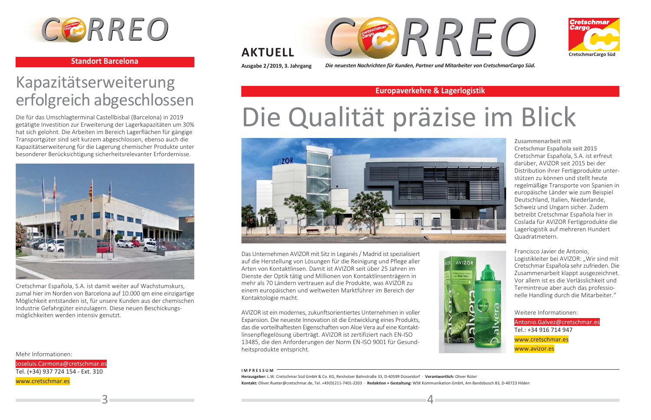

#### **Standort Barcelona**

## Kapazitätserweiterung erfolgreich abgeschlossen

Die für das Umschlagterminal Castellbisbal (Barcelona) in 2019 getätigte Investition zur Erweiterung der Lagerkapazitäten um 30% hat sich gelohnt. Die Arbeiten im Bereich Lagerflächen für gängige Transportgüter sind seit kurzem abgeschlossen, ebenso auch die Kapazitätserweiterung für die Lagerung chemischer Produkte unter besonderer Berücksichtigung sicherheitsrelevanter Erfordernisse.



Cretschmar Española, S.A. ist damit weiter auf Wachstumskurs, zumal hier im Norden von Barcelona auf 10.000 gm eine einzigartige Möglichkeit entstanden ist, für unsere Kunden aus der chemischen Industrie Gefahrgüter einzulagern. Diese neuen Beschickungsmöglichkeiten werden intensiv genutzt.

Mehr Informationen:

Joseluis. Carmona@cretschmar.es Tel. (+34) 937 724 154 - Ext. 310 www.cretschmar.es





### **AKTUELL**

Ausgabe 2/2019, 3. Jahrgang

Die neuesten Nachrichten für Kunden, Partner und Mitarbeiter von CretschmarCargo Süd.

#### **Europaverkehre & Lagerlogistik**

# Die Qualität präzise im Blick



Das Unternehmen AVIZOR mit Sitz in Leganés / Madrid ist spezialisiert auf die Herstellung von Lösungen für die Reinigung und Pflege aller Arten von Kontaktlinsen. Damit ist AVIZOR seit über 25 Jahren im Dienste der Optik tätig und Millionen von Kontaktlinsenträgern in mehr als 70 Ländern vertrauen auf die Produkte, was AVIZOR zu einem europäischen und weltweiten Marktführer im Bereich der Kontaktologie macht.

AVIZOR ist ein modernes, zukunftsorientiertes Unternehmen in voller Expansion. Die neueste Innovation ist die Entwicklung eines Produkts. das die vorteilhaftesten Eigenschaften von Aloe Vera auf eine Kontaktlinsenpflegelösung überträgt. AVIZOR ist zertifiziert nach EN-ISO 13485, die den Anforderungen der Norm EN-ISO 9001 für Gesundheitsprodukte entspricht.



Zusammenarbeit mit Cretschmar Española seit 2015 Cretschmar Española, S.A. ist erfreut darüber. AVIZOR seit 2015 bei der Distribution ihrer Fertigprodukte unterstützen zu können und stellt heute regelmäßige Transporte von Spanien in europäische Länder wie zum Beispiel Deutschland, Italien, Niederlande, Schweiz und Ungarn sicher. Zudem betreibt Cretschmar Española hier in Coslada für AVIZOR Fertigprodukte die Lagerlogistik auf mehreren Hundert Quadratmetern.

Francisco Javier de Antonio. Logistikleiter bei AVIZOR: "Wir sind mit Cretschmar Española sehr zufrieden. Die Zusammenarbeit klappt ausgezeichnet. Vor allem ist es die Verlässlichkeit und Termintreue aber auch das professionelle Handling durch die Mitarbeiter."

Weitere Informationen:

Antonio.Galvez@cretschmar.es Tel.: +34 916 714 947 www.cretschmar.es www.avizor.es

#### **IMPRESSUM**

Herausgeber: L.W. Cretschmar Süd GmbH & Co. KG. Reisholzer Bahnstraße 33. D-40599 Düsseldorf · Verantwortlich: Oliver Rüter Kontakt: Oliver.Rueter@cretschmar.de, Tel. +49(0) 211-7401-2203 · Redaktion + Gestaltung: WSK Kommunikation GmbH, Am Bandsbusch 83, D-40723 Hilden

 $\Delta$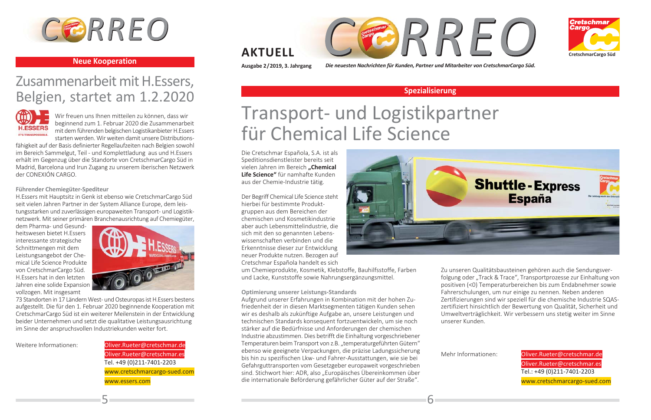

#### **Neue Kooperation**

## Zusammenarbeit mit H.Essers, Belgien, startet am 1.2.2020



Wir freuen uns Ihnen mitteilen zu können, dass wir beginnend zum 1. Februar 2020 die Zusammenarbeit mit dem führenden belgischen Logistikanbieter H.Essers starten werden. Wir weiten damit unsere Distributions-

fähigkeit auf der Basis definierter Regellaufzeiten nach Belgien sowohl im Bereich Sammelgut, Teil - und Komplettladung aus und H.Essers erhält im Gegenzug über die Standorte von CretschmarCargo Süd in Madrid, Barcelona und Irun Zugang zu unserem iberischen Netzwerk der CONEXIÓN CARGO.

#### Führender Chemiegüter-Spediteur

H.Essers mit Hauptsitz in Genk ist ebenso wie CretschmarCargo Süd seit vielen Jahren Partner in der System Alliance Europe, dem leistungsstarken und zuverlässigen europaweiten Transport- und Logistiknetzwerk. Mit seiner primären Branchenausrichtung auf Chemiegüter,

dem Pharma- und Gesundheitswesen bietet H.Essers interessante strategische Schnittmengen mit dem Leistungsangebot der Chemical Life Science Produkte von CretschmarCargo Süd. H.Essers hat in den letzten Jahren eine solide Expansion vollzogen. Mit insgesamt



73 Standorten in 17 Ländern West- und Osteuropas ist H. Essers bestens aufgestellt. Die für den 1. Februar 2020 beginnende Kooperation mit CretschmarCargo Süd ist ein weiterer Meilenstein in der Entwicklung beider Unternehmen und setzt die qualitative Leistungsausrichtung im Sinne der anspruchsvollen Industriekunden weiter fort.

Weitere Informationen:

Oliver.Rueter@cretschmar.de Oliver.Rueter@cretschmar.es Tel. +49 (0)211-7401-2203 www.cretschmarcargo-sued.com www.essers.com





### **AKTUELL**

Ausgabe 2/2019, 3. Jahrgang

Die neuesten Nachrichten für Kunden, Partner und Mitarbeiter von CretschmarCargo Süd.

#### Spezialisierung

# Transport- und Logistikpartner für Chemical Life Science

Die Cretschmar Española, S.A. ist als Speditions diens tleister bereits seit vielen Jahren im Bereich "Chemical Life Science" für namhafte Kunden aus der Chemie-Industrie tätig.

Der Begriff Chemical Life Science steht hierbei für bestimmte Produktgruppen aus dem Bereichen der chemischen und Kosmetikindustrie aber auch Lebensmittelindustrie, die sich mit den so genannten Lebenswissenschaften verbinden und die Erkenntnisse dieser zur Entwicklung neuer Produkte nutzen. Bezogen auf Cretschmar Española handelt es sich

um Chemieprodukte, Kosmetik, Klebstoffe, Bauhilfsstoffe, Farben und Lacke, Kunststoffe sowie Nahrungsergänzungsmittel.

Optimierung unserer Leistungs-Standards

Aufgrund unserer Erfahrungen in Kombination mit der hohen Zufriedenheit der in diesen Marktsegmenten tätigen Kunden sehen wir es deshalb als zukünftige Aufgabe an, unsere Leistungen und technischen Standards konsequent fortzuentwickeln, um sie noch stärker auf die Bedürfnisse und Anforderungen der chemischen Industrie abzustimmen. Dies betrifft die Einhaltung vorgeschriebener Temperaturen beim Transport von z.B. "temperaturgeführten Gütern" ebenso wie geeignete Verpackungen, die präzise Ladungssicherung bis hin zu spezifischen Lkw- und Fahrer-Ausstattungen, wie sie bei Gefahrguttransporten vom Gesetzgeber europaweit vorgeschrieben sind. Stichwort hier: ADR, also "Europäisches Übereinkommen über die internationale Beförderung gefährlicher Güter auf der Straße".



Zu unseren Qualitätsbausteinen gehören auch die Sendungsverfolgung oder "Track & Trace", Transportprozesse zur Einhaltung von positiven (<0) Temperaturbereichen bis zum Endabnehmer sowie Fahrerschulungen, um nur einige zu nennen. Neben anderen Zertifizierungen sind wir speziell für die chemische Industrie SQASzertifiziert hinsichtlich der Bewertung von Qualität. Sicherheit und Umweltverträglichkeit. Wir verbessern uns stetig weiter im Sinne unserer Kunden.

Mehr Informationen:

6

Oliver.Rueter@cretschmar.de Oliver.Rueter@cretschmar.es Tel.: +49 (0)211-7401-2203 www.cretschmarcargo-sued.com